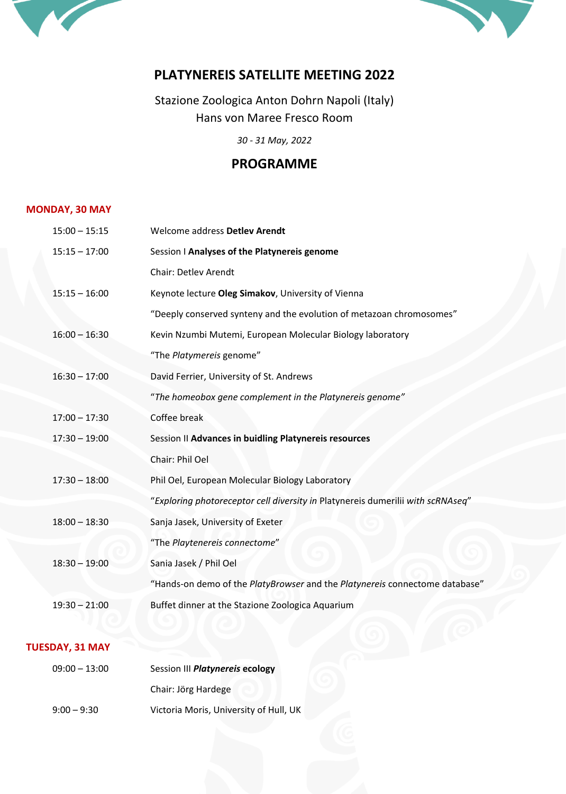



# **PLATYNEREIS SATELLITE MEETING 2022**

Stazione Zoologica Anton Dohrn Napoli (Italy) Hans von Maree Fresco Room

*30 - 31 May, 2022*

# **PROGRAMME**

## **MONDAY, 30 MAY**

| $15:00 - 15:15$ | Welcome address Detlev Arendt                                                   |
|-----------------|---------------------------------------------------------------------------------|
| $15:15 - 17:00$ | Session I Analyses of the Platynereis genome                                    |
|                 | Chair: Detlev Arendt                                                            |
| $15:15 - 16:00$ | Keynote lecture Oleg Simakov, University of Vienna                              |
|                 | "Deeply conserved synteny and the evolution of metazoan chromosomes"            |
| $16:00 - 16:30$ | Kevin Nzumbi Mutemi, European Molecular Biology laboratory                      |
|                 | "The Platymereis genome"                                                        |
| $16:30 - 17:00$ | David Ferrier, University of St. Andrews                                        |
|                 | "The homeobox gene complement in the Platynereis genome"                        |
| $17:00 - 17:30$ | Coffee break                                                                    |
| $17:30 - 19:00$ | Session II Advances in buidling Platynereis resources                           |
|                 | Chair: Phil Oel                                                                 |
| $17:30 - 18:00$ | Phil Oel, European Molecular Biology Laboratory                                 |
|                 | "Exploring photoreceptor cell diversity in Platynereis dumerilii with scRNAseq" |
| $18:00 - 18:30$ | Sanja Jasek, University of Exeter                                               |
|                 | "The Playtenereis connectome"                                                   |
| $18:30 - 19:00$ | Sania Jasek / Phil Oel                                                          |
|                 | "Hands-on demo of the PlatyBrowser and the Platynereis connectome database"     |
| $19:30 - 21:00$ | Buffet dinner at the Stazione Zoologica Aquarium                                |

### **TUESDAY, 31 MAY**

| $09:00 - 13:00$ | Session III Platynereis ecology        |  |
|-----------------|----------------------------------------|--|
|                 | Chair: Jörg Hardege                    |  |
| $9:00 - 9:30$   | Victoria Moris, University of Hull, UK |  |